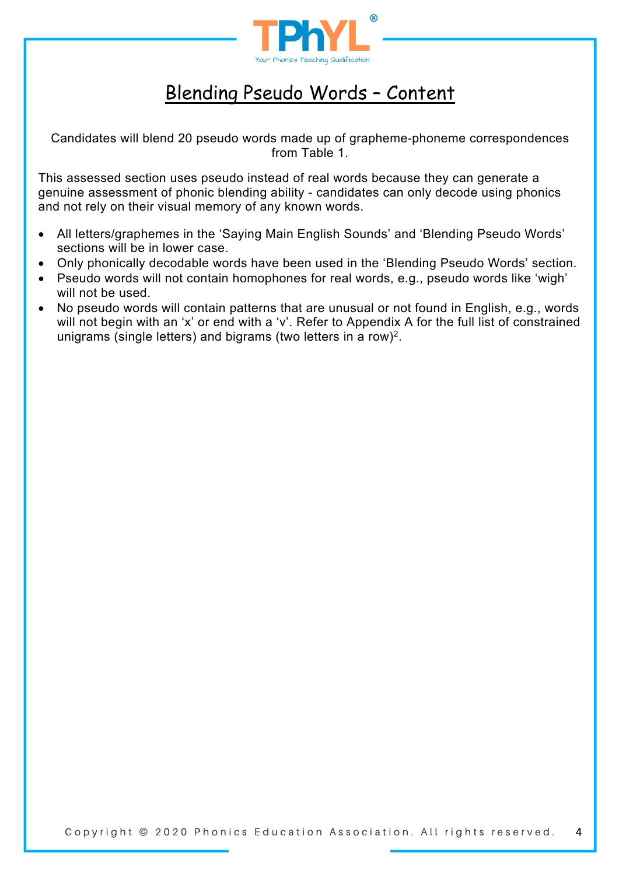

## Blending Pseudo Words – Content

Candidates will blend 20 pseudo words made up of grapheme-phoneme correspondences from Table 1.

This assessed section uses pseudo instead of real words because they can generate a genuine assessment of phonic blending ability - candidates can only decode using phonics and not rely on their visual memory of any known words.

- All letters/graphemes in the 'Saying Main English Sounds' and 'Blending Pseudo Words' sections will be in lower case.
- Only phonically decodable words have been used in the 'Blending Pseudo Words' section.
- Pseudo words will not contain homophones for real words, e.g., pseudo words like 'wigh' will not be used.
- No pseudo words will contain patterns that are unusual or not found in English, e.g., words will not begin with an 'x' or end with a 'v'. Refer to Appendix A for the full list of constrained unigrams (single letters) and bigrams (two letters in a row)2.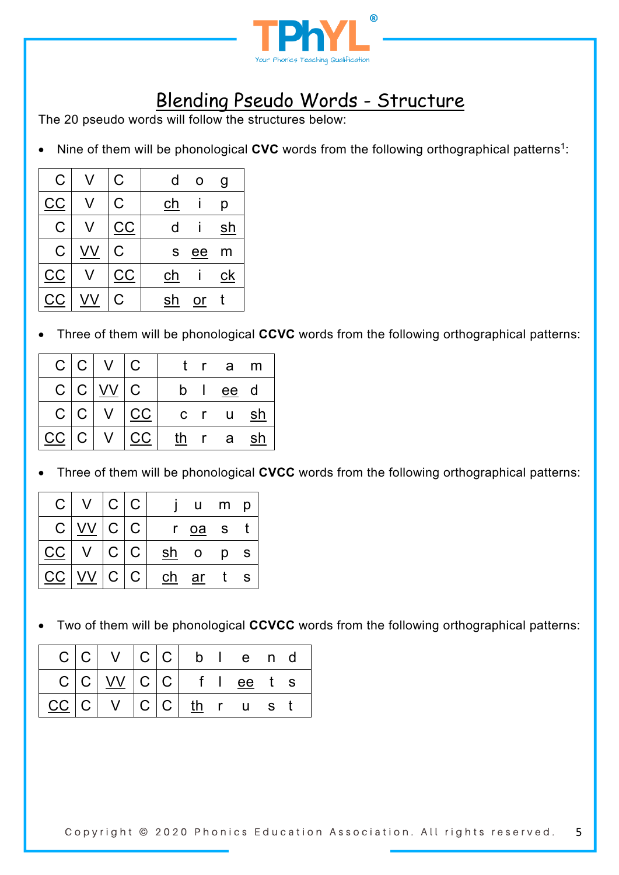

# Blending Pseudo Words - Structure

The 20 pseudo words will follow the structures below:

Nine of them will be phonological **CVC** words from the following orthographical patterns<sup>1</sup>:

| $\mathsf C$    | C         | d           | O    | g  |
|----------------|-----------|-------------|------|----|
| СC             | C         | ch          |      | р  |
| $\overline{C}$ | <u>CC</u> | d           |      | sh |
| C              | Ć         | $\mathbf S$ | $ee$ | m  |
| СC             | СC        | <u>ch</u>   |      | ck |
| CC             | Ć         | sh          | or   |    |

• Three of them will be phonological **CCVC** words from the following orthographical patterns:

|    | C C            | $V \mid C$ |                         |    |          | tra          | m   |
|----|----------------|------------|-------------------------|----|----------|--------------|-----|
|    | C C            | VV         | $\overline{\mathsf{C}}$ |    | b I      | ee d         |     |
|    | C C            |            | CC                      |    | $c \t r$ | $\mathsf{u}$ | sh  |
| CC | $\overline{C}$ |            | CC                      | th |          | r a          | .sh |

• Three of them will be phonological **CVCC** words from the following orthographical patterns:

| $\mathsf{C}$ | $\overline{V}$ |                | C C           |    | u            | m | p            |
|--------------|----------------|----------------|---------------|----|--------------|---|--------------|
| $\mathsf C$  |                | C C            |               | r  | oa           | S |              |
| CC           |                | C <sub>1</sub> | $\mathcal{C}$ | sh | $\mathsf{O}$ | p | $\mathsf{s}$ |
| $C$ $C$      |                | $\mathbf{C}$   | $\mathsf{C}$  | ch | ar           |   | <b>S</b>     |

• Two of them will be phonological **CCVCC** words from the following orthographical patterns:

|                             | C C V                           | C C |                    | b l e n d |  |
|-----------------------------|---------------------------------|-----|--------------------|-----------|--|
|                             | $C C $ $\underline{VV}$ $ C C $ |     | $f \mid$           | ee ts     |  |
| $ {\rm CC}\, $ ${\rm C}\, $ |                                 |     | $ C C $ there is t |           |  |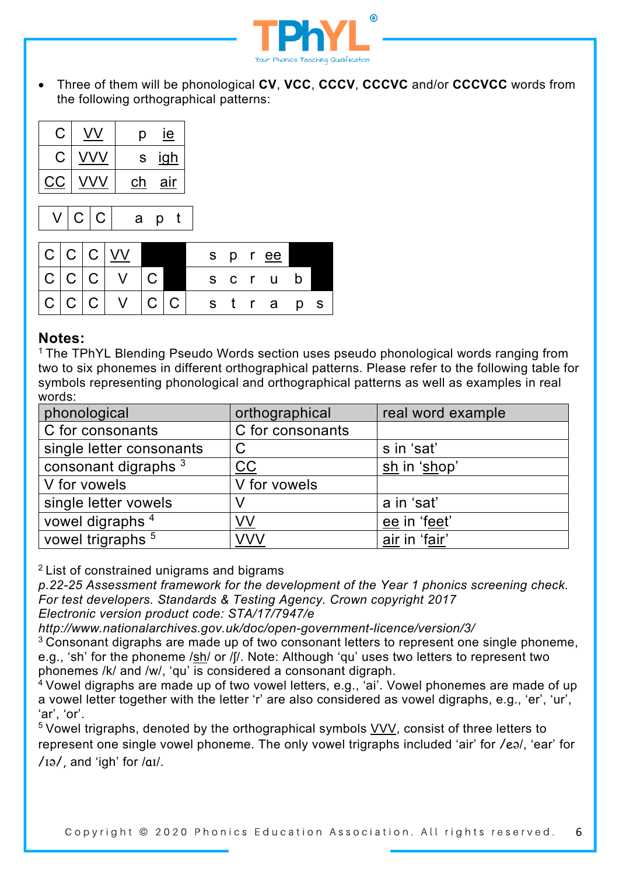

• Three of them will be phonological **CV**, **VCC**, **CCCV**, **CCCVC** and/or **CCCVCC** words from the following orthographical patterns:



### **Notes:**

<sup>1</sup> The TPhYL Blending Pseudo Words section uses pseudo phonological words ranging from two to six phonemes in different orthographical patterns. Please refer to the following table for symbols representing phonological and orthographical patterns as well as examples in real words:

| phonological                   | orthographical          | real word example |
|--------------------------------|-------------------------|-------------------|
| C for consonants               | C for consonants        |                   |
| single letter consonants       | C                       | s in 'sat'        |
| consonant digraphs $3$         | $\underline{\text{CC}}$ | sh in 'shop'      |
| V for vowels                   | V for vowels            |                   |
| single letter vowels           |                         | a in 'sat'        |
| vowel digraphs <sup>4</sup>    | VV                      | ee in 'feet'      |
| vowel trigraphs $\overline{5}$ | <b>VVV</b>              | air in 'fair'     |

2 List of constrained unigrams and bigrams

*p.22-25 Assessment framework for the development of the Year 1 phonics screening check. For test developers. Standards & Testing Agency. Crown copyright 2017 Electronic version product code: STA/17/7947/e*

*http://www.nationalarchives.gov.uk/doc/open-government-licence/version/3/*

 $3$  Consonant digraphs are made up of two consonant letters to represent one single phoneme, e.g., 'sh' for the phoneme /sh/ or /ʃ/. Note: Although 'qu' uses two letters to represent two phonemes /k/ and /w/, 'qu' is considered a consonant digraph.

<sup>4</sup> Vowel digraphs are made up of two vowel letters, e.g., 'ai'. Vowel phonemes are made of up a vowel letter together with the letter 'r' are also considered as vowel digraphs, e.g., 'er', 'ur', 'ar', 'or'.

5 Vowel trigraphs, denoted by the orthographical symbols VVV, consist of three letters to represent one single vowel phoneme. The only vowel trigraphs included 'air' for /eə/, 'ear' for  $/$ Iə $/$ , and 'igh' for  $/$ aI $/$ .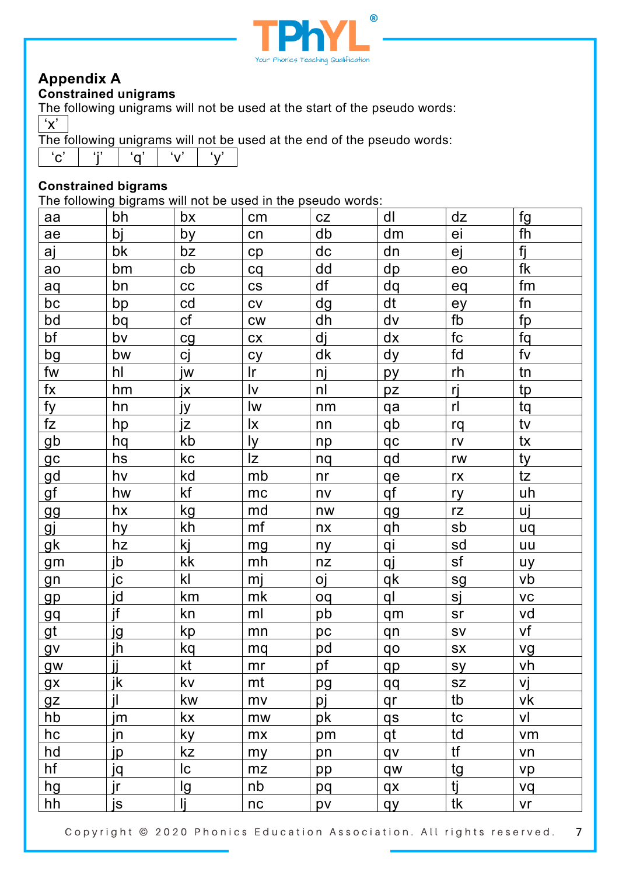

## **Appendix A**

### **Constrained unigrams**

The following unigrams will not be used at the start of the pseudo words: 'x'

The following unigrams will not be used at the end of the pseudo words:

| $\sim$ |  | $\mathsf{r}$ |  |  |
|--------|--|--------------|--|--|
|--------|--|--------------|--|--|

#### **Constrained bigrams**

The following bigrams will not be used in the pseudo words:

| aa           | bh        | bx        | cm                       | CZ  | dl        | dz        | fg             |
|--------------|-----------|-----------|--------------------------|-----|-----------|-----------|----------------|
| ae           | bj        | by        | cn                       | db  | dm        | ei        | fh             |
| aj           | bk        | bz        | cp                       | dc  | dn        | ej        | fj             |
| ao           | bm        | cb        | cq                       | dd  | dp        | eo        | fk             |
| aq           | bn        | cc        | $\mathsf{CS}\phantom{0}$ | df  | dq        | eq        | fm             |
| bc           | bp        | cd        | CV                       | dg  | dt        | ey        | fn             |
| bd           | bq        | cf        | CW                       | dh  | dv        | fb        | fp             |
| bf           | bv        | cg        | cx                       | dj  | dx        | fc        | fq             |
| bg           | bw        | cj        | cy                       | dk  | dy        | fd        | f <sub>V</sub> |
| fw           | hl        | jw        | $\mathsf{I}$ r           | nj  | py        | rh        | tn             |
| $f$ $\times$ | hm        | jx        | $\mathsf{I}\mathsf{v}$   | nl  | pz        | rj        | tp             |
| fy           | hn        | ју        | lw                       | nm  | qa        | rl        | tq             |
| fZ           | hp        | jz        | lx                       | nn  | qb        | rq        | tv             |
| gb           | hq        | kb        | ly.                      | np  | qc        | rv        | tx             |
| gc           | hs        | kc        | Iz                       | nq  | qd        | rw        | ty             |
| <u>gd</u>    | hv        | kd        | mb                       | nr  | qe        | rx        | tz             |
| gf           | hw        | kf        | mc                       | nv  | qf        | ry        | uh             |
| <u>gg</u>    | hx        | kg        | md                       | nw  | <u>qg</u> | rz        | uj             |
| <u>gj</u>    | hy        | kh        | mf                       | n x | qh        | sb        | uq             |
| gk           | hz        | kj        | mg                       | ny  | <u>qi</u> | sd        | uu             |
| gm           | jb        | kk        | mh                       | nz  | qj        | sf        | uy             |
| gn           | jc        | kl        | mj                       | oj  | qk        | sg        | vb             |
| gp           | jd        | km        | mk                       | oq  | ql        | sj        | <b>VC</b>      |
| <u>gq</u>    | jf        | kn        | ml                       | pb  | qm        | sr        | vd             |
| <u>gt</u>    | <u>jg</u> | kp        | mn                       | pc  | qn        | <b>SV</b> | vf             |
| $g_{V}$      | jh        | kq        | mq                       | pd  | qo        | SX        | vg             |
| gw           | jj        | kt        | mr                       | pf  | qp        | sy        | vh             |
| gx           | jk        | kv        | mt                       | pg  | qq        | <b>SZ</b> | Vj             |
| gz           | jl        | kw        | mv                       | pj  | qr        | tb        | vk             |
| hb           | jm        | kx        | mw                       | pk  | qs        | tc        | vl             |
| hc           | jn        | ky        | <b>mx</b>                | pm  | qt        | td        | vm             |
| hd           | <u>jp</u> | kz        | my                       | pn  | qv        | tf        | vn             |
| hf           | jq        | lc        | mz                       | pp  | qw        | tg        | vp             |
| hg           | ir        | <u>lg</u> | nb                       | pq  | qx        | tj        | vq             |
| hh           | js        | li.       | nc                       | pv  | <u>qy</u> | tk        | vr             |